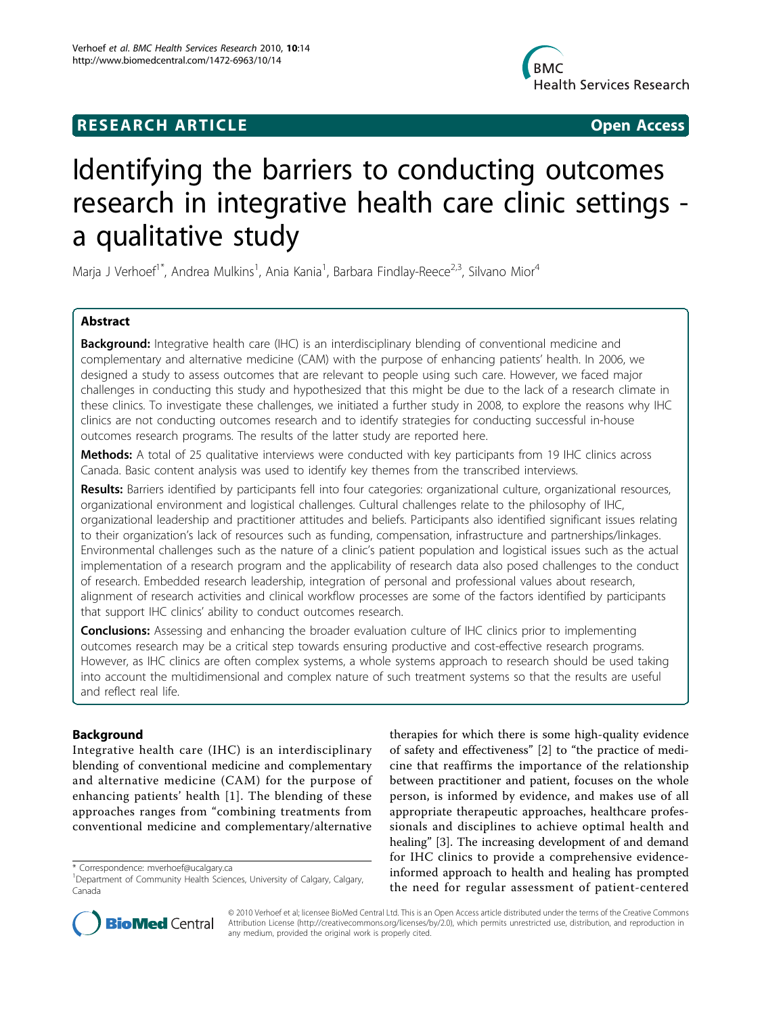## **RESEARCH ARTICLE Example 2018 Open Access**



# Identifying the barriers to conducting outcomes research in integrative health care clinic settings a qualitative study

Marja J Verhoef<sup>1\*</sup>, Andrea Mulkins<sup>1</sup>, Ania Kania<sup>1</sup>, Barbara Findlay-Reece<sup>2,3</sup>, Silvano Mior<sup>4</sup>

## Abstract

Background: Integrative health care (IHC) is an interdisciplinary blending of conventional medicine and complementary and alternative medicine (CAM) with the purpose of enhancing patients' health. In 2006, we designed a study to assess outcomes that are relevant to people using such care. However, we faced major challenges in conducting this study and hypothesized that this might be due to the lack of a research climate in these clinics. To investigate these challenges, we initiated a further study in 2008, to explore the reasons why IHC clinics are not conducting outcomes research and to identify strategies for conducting successful in-house outcomes research programs. The results of the latter study are reported here.

Methods: A total of 25 qualitative interviews were conducted with key participants from 19 IHC clinics across Canada. Basic content analysis was used to identify key themes from the transcribed interviews.

Results: Barriers identified by participants fell into four categories: organizational culture, organizational resources, organizational environment and logistical challenges. Cultural challenges relate to the philosophy of IHC, organizational leadership and practitioner attitudes and beliefs. Participants also identified significant issues relating to their organization's lack of resources such as funding, compensation, infrastructure and partnerships/linkages. Environmental challenges such as the nature of a clinic's patient population and logistical issues such as the actual implementation of a research program and the applicability of research data also posed challenges to the conduct of research. Embedded research leadership, integration of personal and professional values about research, alignment of research activities and clinical workflow processes are some of the factors identified by participants that support IHC clinics' ability to conduct outcomes research.

**Conclusions:** Assessing and enhancing the broader evaluation culture of IHC clinics prior to implementing outcomes research may be a critical step towards ensuring productive and cost-effective research programs. However, as IHC clinics are often complex systems, a whole systems approach to research should be used taking into account the multidimensional and complex nature of such treatment systems so that the results are useful and reflect real life.

## Background

Integrative health care (IHC) is an interdisciplinary blending of conventional medicine and complementary and alternative medicine (CAM) for the purpose of enhancing patients' health [[1\]](#page-9-0). The blending of these approaches ranges from "combining treatments from conventional medicine and complementary/alternative

therapies for which there is some high-quality evidence of safety and effectiveness" [\[2](#page-9-0)] to "the practice of medicine that reaffirms the importance of the relationship between practitioner and patient, focuses on the whole person, is informed by evidence, and makes use of all appropriate therapeutic approaches, healthcare professionals and disciplines to achieve optimal health and healing" [[3\]](#page-9-0). The increasing development of and demand for IHC clinics to provide a comprehensive evidenceinformed approach to health and healing has prompted the need for regular assessment of patient-centered



© 2010 Verhoef et al; licensee BioMed Central Ltd. This is an Open Access article distributed under the terms of the Creative Commons Attribution License [\(http://creativecommons.org/licenses/by/2.0](http://creativecommons.org/licenses/by/2.0)), which permits unrestricted use, distribution, and reproduction in any medium, provided the original work is properly cited.

<sup>\*</sup> Correspondence: [mverhoef@ucalgary.ca](mailto:mverhoef@ucalgary.ca)

<sup>&</sup>lt;sup>1</sup>Department of Community Health Sciences, University of Calgary, Calgary, Canada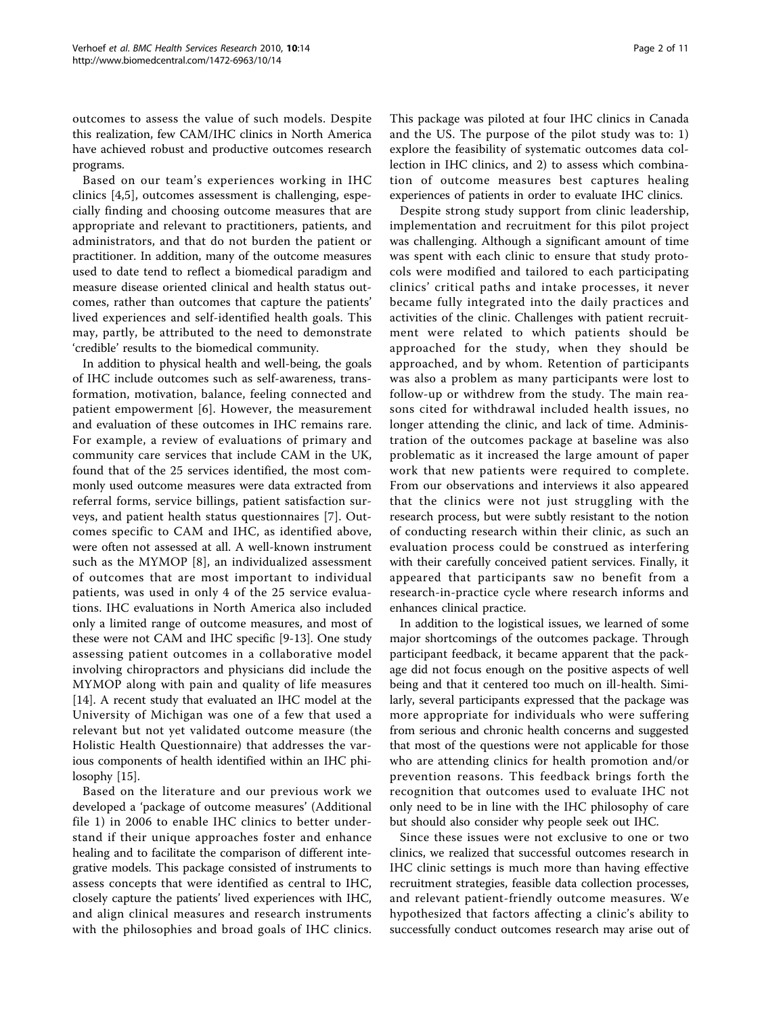outcomes to assess the value of such models. Despite this realization, few CAM/IHC clinics in North America have achieved robust and productive outcomes research programs.

Based on our team's experiences working in IHC clinics [[4,5](#page-10-0)], outcomes assessment is challenging, especially finding and choosing outcome measures that are appropriate and relevant to practitioners, patients, and administrators, and that do not burden the patient or practitioner. In addition, many of the outcome measures used to date tend to reflect a biomedical paradigm and measure disease oriented clinical and health status outcomes, rather than outcomes that capture the patients' lived experiences and self-identified health goals. This may, partly, be attributed to the need to demonstrate 'credible' results to the biomedical community.

In addition to physical health and well-being, the goals of IHC include outcomes such as self-awareness, transformation, motivation, balance, feeling connected and patient empowerment [[6](#page-10-0)]. However, the measurement and evaluation of these outcomes in IHC remains rare. For example, a review of evaluations of primary and community care services that include CAM in the UK, found that of the 25 services identified, the most commonly used outcome measures were data extracted from referral forms, service billings, patient satisfaction surveys, and patient health status questionnaires [\[7](#page-10-0)]. Outcomes specific to CAM and IHC, as identified above, were often not assessed at all. A well-known instrument such as the MYMOP [[8\]](#page-10-0), an individualized assessment of outcomes that are most important to individual patients, was used in only 4 of the 25 service evaluations. IHC evaluations in North America also included only a limited range of outcome measures, and most of these were not CAM and IHC specific [\[9](#page-10-0)-[13\]](#page-10-0). One study assessing patient outcomes in a collaborative model involving chiropractors and physicians did include the MYMOP along with pain and quality of life measures [[14\]](#page-10-0). A recent study that evaluated an IHC model at the University of Michigan was one of a few that used a relevant but not yet validated outcome measure (the Holistic Health Questionnaire) that addresses the various components of health identified within an IHC philosophy [\[15](#page-10-0)].

Based on the literature and our previous work we developed a 'package of outcome measures' (Additional file [1](#page-9-0)) in 2006 to enable IHC clinics to better understand if their unique approaches foster and enhance healing and to facilitate the comparison of different integrative models. This package consisted of instruments to assess concepts that were identified as central to IHC, closely capture the patients' lived experiences with IHC, and align clinical measures and research instruments with the philosophies and broad goals of IHC clinics.

This package was piloted at four IHC clinics in Canada and the US. The purpose of the pilot study was to: 1) explore the feasibility of systematic outcomes data collection in IHC clinics, and 2) to assess which combination of outcome measures best captures healing experiences of patients in order to evaluate IHC clinics.

Despite strong study support from clinic leadership, implementation and recruitment for this pilot project was challenging. Although a significant amount of time was spent with each clinic to ensure that study protocols were modified and tailored to each participating clinics' critical paths and intake processes, it never became fully integrated into the daily practices and activities of the clinic. Challenges with patient recruitment were related to which patients should be approached for the study, when they should be approached, and by whom. Retention of participants was also a problem as many participants were lost to follow-up or withdrew from the study. The main reasons cited for withdrawal included health issues, no longer attending the clinic, and lack of time. Administration of the outcomes package at baseline was also problematic as it increased the large amount of paper work that new patients were required to complete. From our observations and interviews it also appeared that the clinics were not just struggling with the research process, but were subtly resistant to the notion of conducting research within their clinic, as such an evaluation process could be construed as interfering with their carefully conceived patient services. Finally, it appeared that participants saw no benefit from a research-in-practice cycle where research informs and enhances clinical practice.

In addition to the logistical issues, we learned of some major shortcomings of the outcomes package. Through participant feedback, it became apparent that the package did not focus enough on the positive aspects of well being and that it centered too much on ill-health. Similarly, several participants expressed that the package was more appropriate for individuals who were suffering from serious and chronic health concerns and suggested that most of the questions were not applicable for those who are attending clinics for health promotion and/or prevention reasons. This feedback brings forth the recognition that outcomes used to evaluate IHC not only need to be in line with the IHC philosophy of care but should also consider why people seek out IHC.

Since these issues were not exclusive to one or two clinics, we realized that successful outcomes research in IHC clinic settings is much more than having effective recruitment strategies, feasible data collection processes, and relevant patient-friendly outcome measures. We hypothesized that factors affecting a clinic's ability to successfully conduct outcomes research may arise out of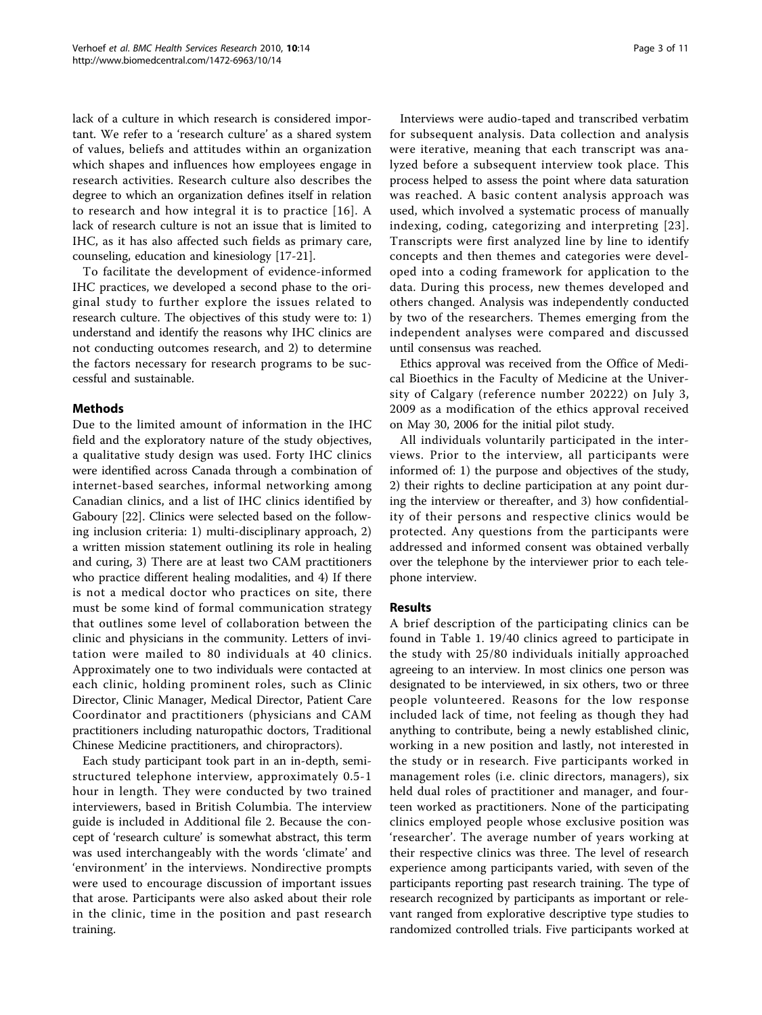lack of a culture in which research is considered important. We refer to a 'research culture' as a shared system of values, beliefs and attitudes within an organization which shapes and influences how employees engage in research activities. Research culture also describes the degree to which an organization defines itself in relation to research and how integral it is to practice [[16](#page-10-0)]. A lack of research culture is not an issue that is limited to IHC, as it has also affected such fields as primary care, counseling, education and kinesiology [\[17](#page-10-0)-[21](#page-10-0)].

To facilitate the development of evidence-informed IHC practices, we developed a second phase to the original study to further explore the issues related to research culture. The objectives of this study were to: 1) understand and identify the reasons why IHC clinics are not conducting outcomes research, and 2) to determine the factors necessary for research programs to be successful and sustainable.

## Methods

Due to the limited amount of information in the IHC field and the exploratory nature of the study objectives, a qualitative study design was used. Forty IHC clinics were identified across Canada through a combination of internet-based searches, informal networking among Canadian clinics, and a list of IHC clinics identified by Gaboury [\[22](#page-10-0)]. Clinics were selected based on the following inclusion criteria: 1) multi-disciplinary approach, 2) a written mission statement outlining its role in healing and curing, 3) There are at least two CAM practitioners who practice different healing modalities, and 4) If there is not a medical doctor who practices on site, there must be some kind of formal communication strategy that outlines some level of collaboration between the clinic and physicians in the community. Letters of invitation were mailed to 80 individuals at 40 clinics. Approximately one to two individuals were contacted at each clinic, holding prominent roles, such as Clinic Director, Clinic Manager, Medical Director, Patient Care Coordinator and practitioners (physicians and CAM practitioners including naturopathic doctors, Traditional Chinese Medicine practitioners, and chiropractors).

Each study participant took part in an in-depth, semistructured telephone interview, approximately 0.5-1 hour in length. They were conducted by two trained interviewers, based in British Columbia. The interview guide is included in Additional file [2.](#page-9-0) Because the concept of 'research culture' is somewhat abstract, this term was used interchangeably with the words 'climate' and 'environment' in the interviews. Nondirective prompts were used to encourage discussion of important issues that arose. Participants were also asked about their role in the clinic, time in the position and past research training.

Interviews were audio-taped and transcribed verbatim for subsequent analysis. Data collection and analysis were iterative, meaning that each transcript was analyzed before a subsequent interview took place. This process helped to assess the point where data saturation was reached. A basic content analysis approach was used, which involved a systematic process of manually indexing, coding, categorizing and interpreting [[23\]](#page-10-0). Transcripts were first analyzed line by line to identify concepts and then themes and categories were developed into a coding framework for application to the data. During this process, new themes developed and others changed. Analysis was independently conducted by two of the researchers. Themes emerging from the independent analyses were compared and discussed until consensus was reached.

Ethics approval was received from the Office of Medical Bioethics in the Faculty of Medicine at the University of Calgary (reference number 20222) on July 3, 2009 as a modification of the ethics approval received on May 30, 2006 for the initial pilot study.

All individuals voluntarily participated in the interviews. Prior to the interview, all participants were informed of: 1) the purpose and objectives of the study, 2) their rights to decline participation at any point during the interview or thereafter, and 3) how confidentiality of their persons and respective clinics would be protected. Any questions from the participants were addressed and informed consent was obtained verbally over the telephone by the interviewer prior to each telephone interview.

## Results

A brief description of the participating clinics can be found in Table [1](#page-3-0). 19/40 clinics agreed to participate in the study with 25/80 individuals initially approached agreeing to an interview. In most clinics one person was designated to be interviewed, in six others, two or three people volunteered. Reasons for the low response included lack of time, not feeling as though they had anything to contribute, being a newly established clinic, working in a new position and lastly, not interested in the study or in research. Five participants worked in management roles (i.e. clinic directors, managers), six held dual roles of practitioner and manager, and fourteen worked as practitioners. None of the participating clinics employed people whose exclusive position was 'researcher'. The average number of years working at their respective clinics was three. The level of research experience among participants varied, with seven of the participants reporting past research training. The type of research recognized by participants as important or relevant ranged from explorative descriptive type studies to randomized controlled trials. Five participants worked at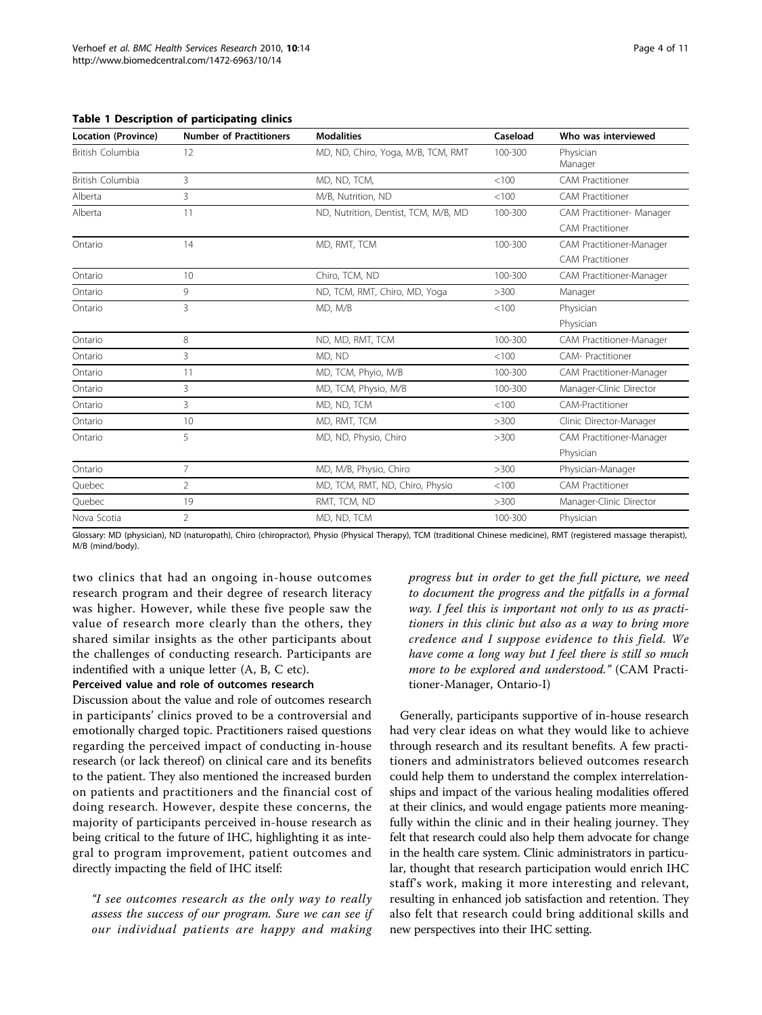| Location (Province)     | <b>Number of Practitioners</b> | <b>Modalities</b>                    | Caseload | Who was interviewed       |
|-------------------------|--------------------------------|--------------------------------------|----------|---------------------------|
| <b>British Columbia</b> | 12                             | MD, ND, Chiro, Yoga, M/B, TCM, RMT   | 100-300  | Physician<br>Manager      |
| <b>British Columbia</b> | 3                              | MD, ND, TCM,                         | < 100    | <b>CAM Practitioner</b>   |
| Alberta                 | 3                              | M/B, Nutrition, ND                   | < 100    | <b>CAM Practitioner</b>   |
| Alberta                 | 11                             | ND, Nutrition, Dentist, TCM, M/B, MD | 100-300  | CAM Practitioner- Manager |
|                         |                                |                                      |          | <b>CAM Practitioner</b>   |
| Ontario                 | 14                             | MD, RMT, TCM                         | 100-300  | CAM Practitioner-Manager  |
|                         |                                |                                      |          | <b>CAM Practitioner</b>   |
| Ontario                 | 10                             | Chiro, TCM, ND                       | 100-300  | CAM Practitioner-Manager  |
| Ontario                 | 9                              | ND, TCM, RMT, Chiro, MD, Yoga        | >300     | Manager                   |
| Ontario                 | $\overline{3}$                 | MD, M/B                              | < 100    | Physician                 |
|                         |                                |                                      |          | Physician                 |
| Ontario                 | 8                              | ND, MD, RMT, TCM                     | 100-300  | CAM Practitioner-Manager  |
| Ontario                 | 3                              | MD, ND                               | < 100    | CAM- Practitioner         |
| Ontario                 | 11                             | MD, TCM, Phyio, M/B                  | 100-300  | CAM Practitioner-Manager  |
| Ontario                 | 3                              | MD, TCM, Physio, M/B                 | 100-300  | Manager-Clinic Director   |
| Ontario                 | 3                              | MD, ND, TCM                          | < 100    | CAM-Practitioner          |
| Ontario                 | 10                             | MD, RMT, TCM                         | >300     | Clinic Director-Manager   |
| Ontario                 | 5                              | MD, ND, Physio, Chiro                | >300     | CAM Practitioner-Manager  |
|                         |                                |                                      |          | Physician                 |
| Ontario                 | $\overline{7}$                 | MD, M/B, Physio, Chiro               | >300     | Physician-Manager         |
| Quebec                  | $\overline{2}$                 | MD, TCM, RMT, ND, Chiro, Physio      | < 100    | <b>CAM Practitioner</b>   |
| Quebec                  | 19                             | RMT, TCM, ND                         | >300     | Manager-Clinic Director   |
| Nova Scotia             | $\overline{2}$                 | MD, ND, TCM                          | 100-300  | Physician                 |

## <span id="page-3-0"></span>Table 1 Description of participating clinics

Glossary: MD (physician), ND (naturopath), Chiro (chiropractor), Physio (Physical Therapy), TCM (traditional Chinese medicine), RMT (registered massage therapist), M/B (mind/body).

two clinics that had an ongoing in-house outcomes research program and their degree of research literacy was higher. However, while these five people saw the value of research more clearly than the others, they shared similar insights as the other participants about the challenges of conducting research. Participants are indentified with a unique letter (A, B, C etc).

## Perceived value and role of outcomes research

Discussion about the value and role of outcomes research in participants' clinics proved to be a controversial and emotionally charged topic. Practitioners raised questions regarding the perceived impact of conducting in-house research (or lack thereof) on clinical care and its benefits to the patient. They also mentioned the increased burden on patients and practitioners and the financial cost of doing research. However, despite these concerns, the majority of participants perceived in-house research as being critical to the future of IHC, highlighting it as integral to program improvement, patient outcomes and directly impacting the field of IHC itself:

"I see outcomes research as the only way to really assess the success of our program. Sure we can see if our individual patients are happy and making

progress but in order to get the full picture, we need to document the progress and the pitfalls in a formal way. I feel this is important not only to us as practitioners in this clinic but also as a way to bring more credence and I suppose evidence to this field. We have come a long way but I feel there is still so much more to be explored and understood." (CAM Practitioner-Manager, Ontario-I)

Generally, participants supportive of in-house research had very clear ideas on what they would like to achieve through research and its resultant benefits. A few practitioners and administrators believed outcomes research could help them to understand the complex interrelationships and impact of the various healing modalities offered at their clinics, and would engage patients more meaningfully within the clinic and in their healing journey. They felt that research could also help them advocate for change in the health care system. Clinic administrators in particular, thought that research participation would enrich IHC staff's work, making it more interesting and relevant, resulting in enhanced job satisfaction and retention. They also felt that research could bring additional skills and new perspectives into their IHC setting.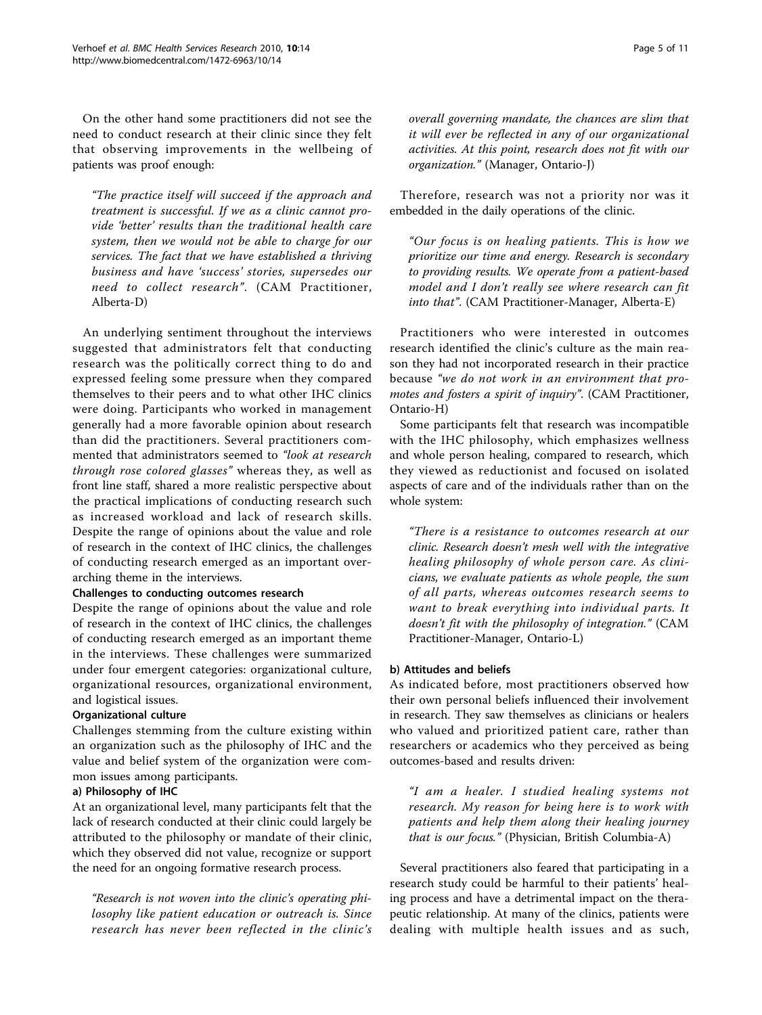On the other hand some practitioners did not see the need to conduct research at their clinic since they felt that observing improvements in the wellbeing of patients was proof enough:

"The practice itself will succeed if the approach and treatment is successful. If we as a clinic cannot provide 'better' results than the traditional health care system, then we would not be able to charge for our services. The fact that we have established a thriving business and have 'success' stories, supersedes our need to collect research". (CAM Practitioner, Alberta-D)

An underlying sentiment throughout the interviews suggested that administrators felt that conducting research was the politically correct thing to do and expressed feeling some pressure when they compared themselves to their peers and to what other IHC clinics were doing. Participants who worked in management generally had a more favorable opinion about research than did the practitioners. Several practitioners commented that administrators seemed to "look at research through rose colored glasses" whereas they, as well as front line staff, shared a more realistic perspective about the practical implications of conducting research such as increased workload and lack of research skills. Despite the range of opinions about the value and role of research in the context of IHC clinics, the challenges of conducting research emerged as an important overarching theme in the interviews.

#### Challenges to conducting outcomes research

Despite the range of opinions about the value and role of research in the context of IHC clinics, the challenges of conducting research emerged as an important theme in the interviews. These challenges were summarized under four emergent categories: organizational culture, organizational resources, organizational environment, and logistical issues.

## Organizational culture

Challenges stemming from the culture existing within an organization such as the philosophy of IHC and the value and belief system of the organization were common issues among participants.

#### a) Philosophy of IHC

At an organizational level, many participants felt that the lack of research conducted at their clinic could largely be attributed to the philosophy or mandate of their clinic, which they observed did not value, recognize or support the need for an ongoing formative research process.

"Research is not woven into the clinic's operating philosophy like patient education or outreach is. Since research has never been reflected in the clinic's overall governing mandate, the chances are slim that it will ever be reflected in any of our organizational activities. At this point, research does not fit with our organization." (Manager, Ontario-J)

Therefore, research was not a priority nor was it embedded in the daily operations of the clinic.

"Our focus is on healing patients. This is how we prioritize our time and energy. Research is secondary to providing results. We operate from a patient-based model and I don't really see where research can fit into that". (CAM Practitioner-Manager, Alberta-E)

Practitioners who were interested in outcomes research identified the clinic's culture as the main reason they had not incorporated research in their practice because "we do not work in an environment that promotes and fosters a spirit of inquiry". (CAM Practitioner, Ontario-H)

Some participants felt that research was incompatible with the IHC philosophy, which emphasizes wellness and whole person healing, compared to research, which they viewed as reductionist and focused on isolated aspects of care and of the individuals rather than on the whole system:

"There is a resistance to outcomes research at our clinic. Research doesn't mesh well with the integrative healing philosophy of whole person care. As clinicians, we evaluate patients as whole people, the sum of all parts, whereas outcomes research seems to want to break everything into individual parts. It doesn't fit with the philosophy of integration." (CAM Practitioner-Manager, Ontario-L)

#### b) Attitudes and beliefs

As indicated before, most practitioners observed how their own personal beliefs influenced their involvement in research. They saw themselves as clinicians or healers who valued and prioritized patient care, rather than researchers or academics who they perceived as being outcomes-based and results driven:

"I am a healer. I studied healing systems not research. My reason for being here is to work with patients and help them along their healing journey that is our focus." (Physician, British Columbia-A)

Several practitioners also feared that participating in a research study could be harmful to their patients' healing process and have a detrimental impact on the therapeutic relationship. At many of the clinics, patients were dealing with multiple health issues and as such,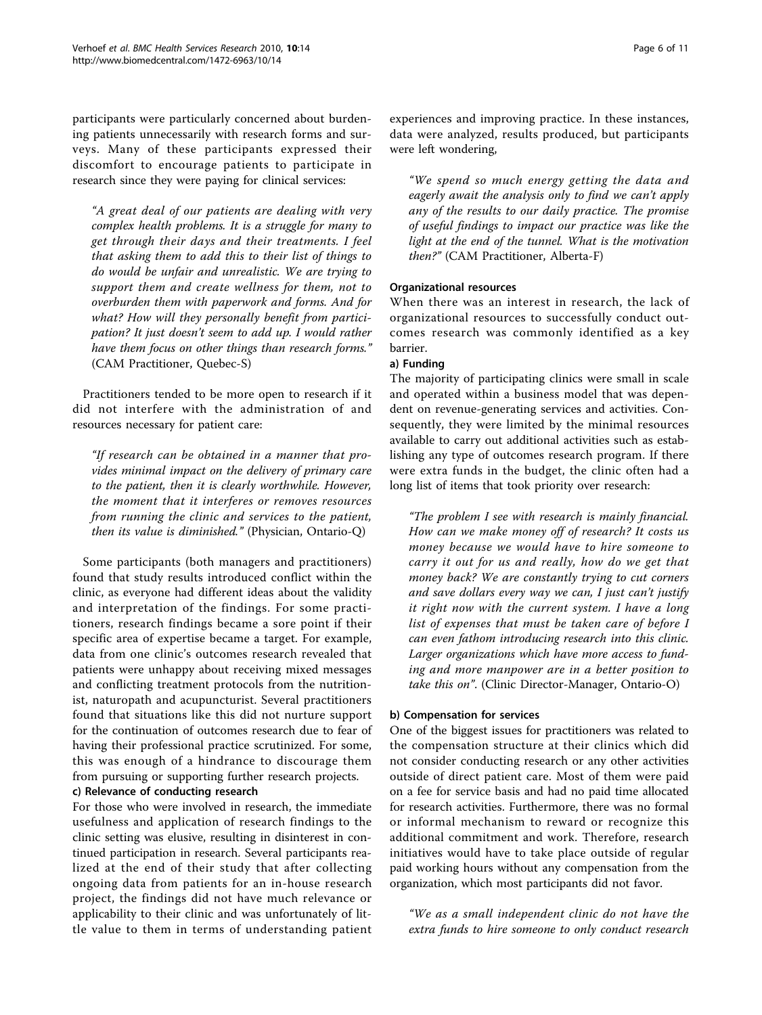participants were particularly concerned about burdening patients unnecessarily with research forms and surveys. Many of these participants expressed their discomfort to encourage patients to participate in research since they were paying for clinical services:

"A great deal of our patients are dealing with very complex health problems. It is a struggle for many to get through their days and their treatments. I feel that asking them to add this to their list of things to do would be unfair and unrealistic. We are trying to support them and create wellness for them, not to overburden them with paperwork and forms. And for what? How will they personally benefit from participation? It just doesn't seem to add up. I would rather have them focus on other things than research forms." (CAM Practitioner, Quebec-S)

Practitioners tended to be more open to research if it did not interfere with the administration of and resources necessary for patient care:

"If research can be obtained in a manner that provides minimal impact on the delivery of primary care to the patient, then it is clearly worthwhile. However, the moment that it interferes or removes resources from running the clinic and services to the patient, then its value is diminished." (Physician, Ontario-Q)

Some participants (both managers and practitioners) found that study results introduced conflict within the clinic, as everyone had different ideas about the validity and interpretation of the findings. For some practitioners, research findings became a sore point if their specific area of expertise became a target. For example, data from one clinic's outcomes research revealed that patients were unhappy about receiving mixed messages and conflicting treatment protocols from the nutritionist, naturopath and acupuncturist. Several practitioners found that situations like this did not nurture support for the continuation of outcomes research due to fear of having their professional practice scrutinized. For some, this was enough of a hindrance to discourage them from pursuing or supporting further research projects.

## c) Relevance of conducting research

For those who were involved in research, the immediate usefulness and application of research findings to the clinic setting was elusive, resulting in disinterest in continued participation in research. Several participants realized at the end of their study that after collecting ongoing data from patients for an in-house research project, the findings did not have much relevance or applicability to their clinic and was unfortunately of little value to them in terms of understanding patient

experiences and improving practice. In these instances, data were analyzed, results produced, but participants were left wondering,

"We spend so much energy getting the data and eagerly await the analysis only to find we can't apply any of the results to our daily practice. The promise of useful findings to impact our practice was like the light at the end of the tunnel. What is the motivation then?" (CAM Practitioner, Alberta-F)

## Organizational resources

When there was an interest in research, the lack of organizational resources to successfully conduct outcomes research was commonly identified as a key barrier.

#### a) Funding

The majority of participating clinics were small in scale and operated within a business model that was dependent on revenue-generating services and activities. Consequently, they were limited by the minimal resources available to carry out additional activities such as establishing any type of outcomes research program. If there were extra funds in the budget, the clinic often had a long list of items that took priority over research:

"The problem I see with research is mainly financial. How can we make money off of research? It costs us money because we would have to hire someone to carry it out for us and really, how do we get that money back? We are constantly trying to cut corners and save dollars every way we can, I just can't justify it right now with the current system. I have a long list of expenses that must be taken care of before I can even fathom introducing research into this clinic. Larger organizations which have more access to funding and more manpower are in a better position to take this on". (Clinic Director-Manager, Ontario-O)

## b) Compensation for services

One of the biggest issues for practitioners was related to the compensation structure at their clinics which did not consider conducting research or any other activities outside of direct patient care. Most of them were paid on a fee for service basis and had no paid time allocated for research activities. Furthermore, there was no formal or informal mechanism to reward or recognize this additional commitment and work. Therefore, research initiatives would have to take place outside of regular paid working hours without any compensation from the organization, which most participants did not favor.

"We as a small independent clinic do not have the extra funds to hire someone to only conduct research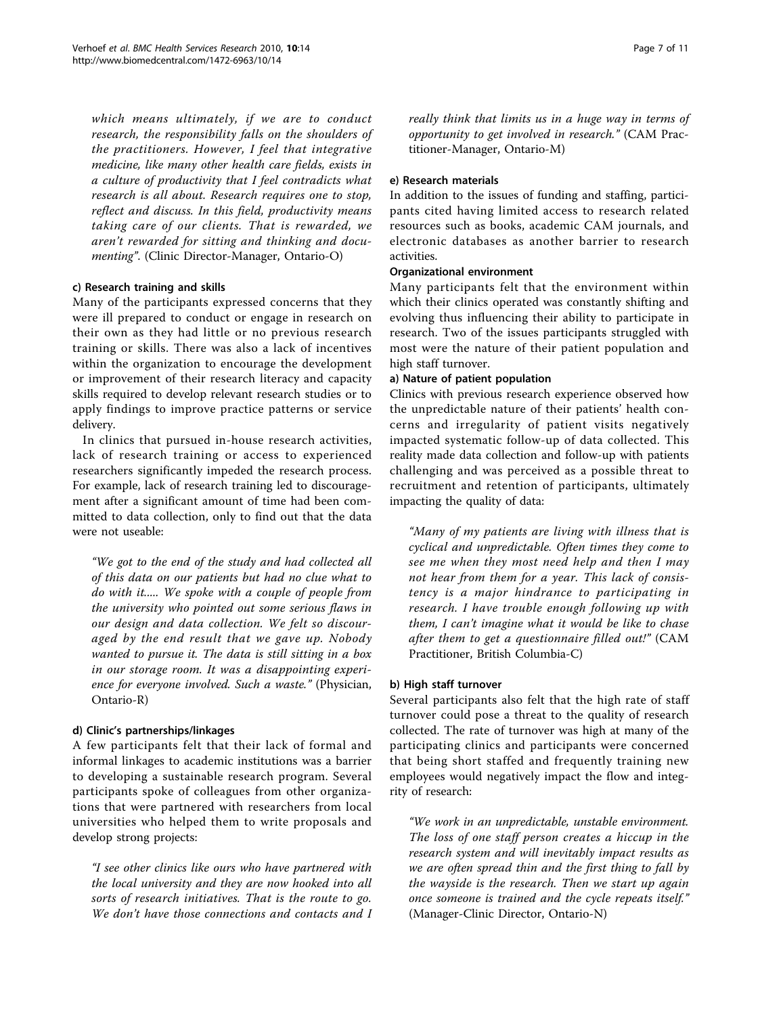which means ultimately, if we are to conduct research, the responsibility falls on the shoulders of the practitioners. However, I feel that integrative medicine, like many other health care fields, exists in a culture of productivity that I feel contradicts what research is all about. Research requires one to stop, reflect and discuss. In this field, productivity means taking care of our clients. That is rewarded, we aren't rewarded for sitting and thinking and documenting". (Clinic Director-Manager, Ontario-O)

#### c) Research training and skills

Many of the participants expressed concerns that they were ill prepared to conduct or engage in research on their own as they had little or no previous research training or skills. There was also a lack of incentives within the organization to encourage the development or improvement of their research literacy and capacity skills required to develop relevant research studies or to apply findings to improve practice patterns or service delivery.

In clinics that pursued in-house research activities, lack of research training or access to experienced researchers significantly impeded the research process. For example, lack of research training led to discouragement after a significant amount of time had been committed to data collection, only to find out that the data were not useable:

"We got to the end of the study and had collected all of this data on our patients but had no clue what to do with it..... We spoke with a couple of people from the university who pointed out some serious flaws in our design and data collection. We felt so discouraged by the end result that we gave up. Nobody wanted to pursue it. The data is still sitting in a box in our storage room. It was a disappointing experience for everyone involved. Such a waste." (Physician, Ontario-R)

## d) Clinic's partnerships/linkages

A few participants felt that their lack of formal and informal linkages to academic institutions was a barrier to developing a sustainable research program. Several participants spoke of colleagues from other organizations that were partnered with researchers from local universities who helped them to write proposals and develop strong projects:

"I see other clinics like ours who have partnered with the local university and they are now hooked into all sorts of research initiatives. That is the route to go. We don't have those connections and contacts and I really think that limits us in a huge way in terms of opportunity to get involved in research." (CAM Practitioner-Manager, Ontario-M)

## e) Research materials

In addition to the issues of funding and staffing, participants cited having limited access to research related resources such as books, academic CAM journals, and electronic databases as another barrier to research activities.

## Organizational environment

Many participants felt that the environment within which their clinics operated was constantly shifting and evolving thus influencing their ability to participate in research. Two of the issues participants struggled with most were the nature of their patient population and high staff turnover.

## a) Nature of patient population

Clinics with previous research experience observed how the unpredictable nature of their patients' health concerns and irregularity of patient visits negatively impacted systematic follow-up of data collected. This reality made data collection and follow-up with patients challenging and was perceived as a possible threat to recruitment and retention of participants, ultimately impacting the quality of data:

"Many of my patients are living with illness that is cyclical and unpredictable. Often times they come to see me when they most need help and then I may not hear from them for a year. This lack of consistency is a major hindrance to participating in research. I have trouble enough following up with them, I can't imagine what it would be like to chase after them to get a questionnaire filled out!" (CAM Practitioner, British Columbia-C)

## b) High staff turnover

Several participants also felt that the high rate of staff turnover could pose a threat to the quality of research collected. The rate of turnover was high at many of the participating clinics and participants were concerned that being short staffed and frequently training new employees would negatively impact the flow and integrity of research:

"We work in an unpredictable, unstable environment. The loss of one staff person creates a hiccup in the research system and will inevitably impact results as we are often spread thin and the first thing to fall by the wayside is the research. Then we start up again once someone is trained and the cycle repeats itself." (Manager-Clinic Director, Ontario-N)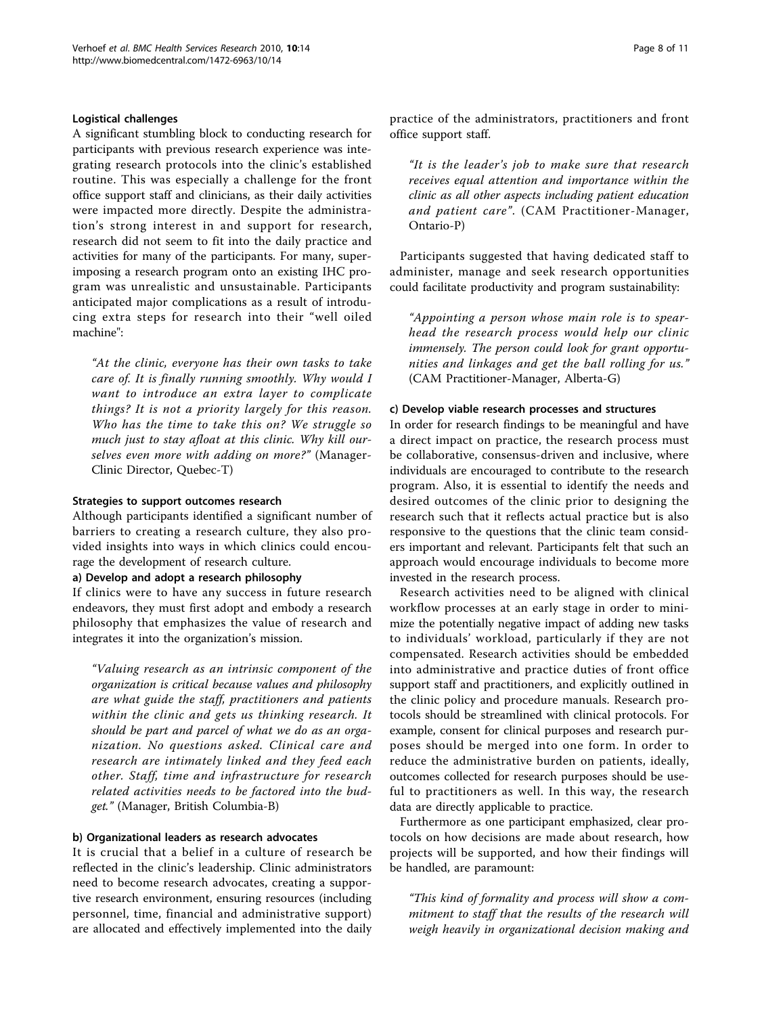#### Logistical challenges

A significant stumbling block to conducting research for participants with previous research experience was integrating research protocols into the clinic's established routine. This was especially a challenge for the front office support staff and clinicians, as their daily activities were impacted more directly. Despite the administration's strong interest in and support for research, research did not seem to fit into the daily practice and activities for many of the participants. For many, superimposing a research program onto an existing IHC program was unrealistic and unsustainable. Participants anticipated major complications as a result of introducing extra steps for research into their "well oiled machine":

"At the clinic, everyone has their own tasks to take care of. It is finally running smoothly. Why would I want to introduce an extra layer to complicate things? It is not a priority largely for this reason. Who has the time to take this on? We struggle so much just to stay afloat at this clinic. Why kill ourselves even more with adding on more?" (Manager-Clinic Director, Quebec-T)

#### Strategies to support outcomes research

Although participants identified a significant number of barriers to creating a research culture, they also provided insights into ways in which clinics could encourage the development of research culture.

a) Develop and adopt a research philosophy

If clinics were to have any success in future research endeavors, they must first adopt and embody a research philosophy that emphasizes the value of research and integrates it into the organization's mission.

"Valuing research as an intrinsic component of the organization is critical because values and philosophy are what guide the staff, practitioners and patients within the clinic and gets us thinking research. It should be part and parcel of what we do as an organization. No questions asked. Clinical care and research are intimately linked and they feed each other. Staff, time and infrastructure for research related activities needs to be factored into the budget." (Manager, British Columbia-B)

#### b) Organizational leaders as research advocates

It is crucial that a belief in a culture of research be reflected in the clinic's leadership. Clinic administrators need to become research advocates, creating a supportive research environment, ensuring resources (including personnel, time, financial and administrative support) are allocated and effectively implemented into the daily practice of the administrators, practitioners and front office support staff.

"It is the leader's job to make sure that research receives equal attention and importance within the clinic as all other aspects including patient education and patient care". (CAM Practitioner-Manager, Ontario-P)

Participants suggested that having dedicated staff to administer, manage and seek research opportunities could facilitate productivity and program sustainability:

"Appointing a person whose main role is to spearhead the research process would help our clinic immensely. The person could look for grant opportunities and linkages and get the ball rolling for us." (CAM Practitioner-Manager, Alberta-G)

#### c) Develop viable research processes and structures

In order for research findings to be meaningful and have a direct impact on practice, the research process must be collaborative, consensus-driven and inclusive, where individuals are encouraged to contribute to the research program. Also, it is essential to identify the needs and desired outcomes of the clinic prior to designing the research such that it reflects actual practice but is also responsive to the questions that the clinic team considers important and relevant. Participants felt that such an approach would encourage individuals to become more invested in the research process.

Research activities need to be aligned with clinical workflow processes at an early stage in order to minimize the potentially negative impact of adding new tasks to individuals' workload, particularly if they are not compensated. Research activities should be embedded into administrative and practice duties of front office support staff and practitioners, and explicitly outlined in the clinic policy and procedure manuals. Research protocols should be streamlined with clinical protocols. For example, consent for clinical purposes and research purposes should be merged into one form. In order to reduce the administrative burden on patients, ideally, outcomes collected for research purposes should be useful to practitioners as well. In this way, the research data are directly applicable to practice.

Furthermore as one participant emphasized, clear protocols on how decisions are made about research, how projects will be supported, and how their findings will be handled, are paramount:

"This kind of formality and process will show a commitment to staff that the results of the research will weigh heavily in organizational decision making and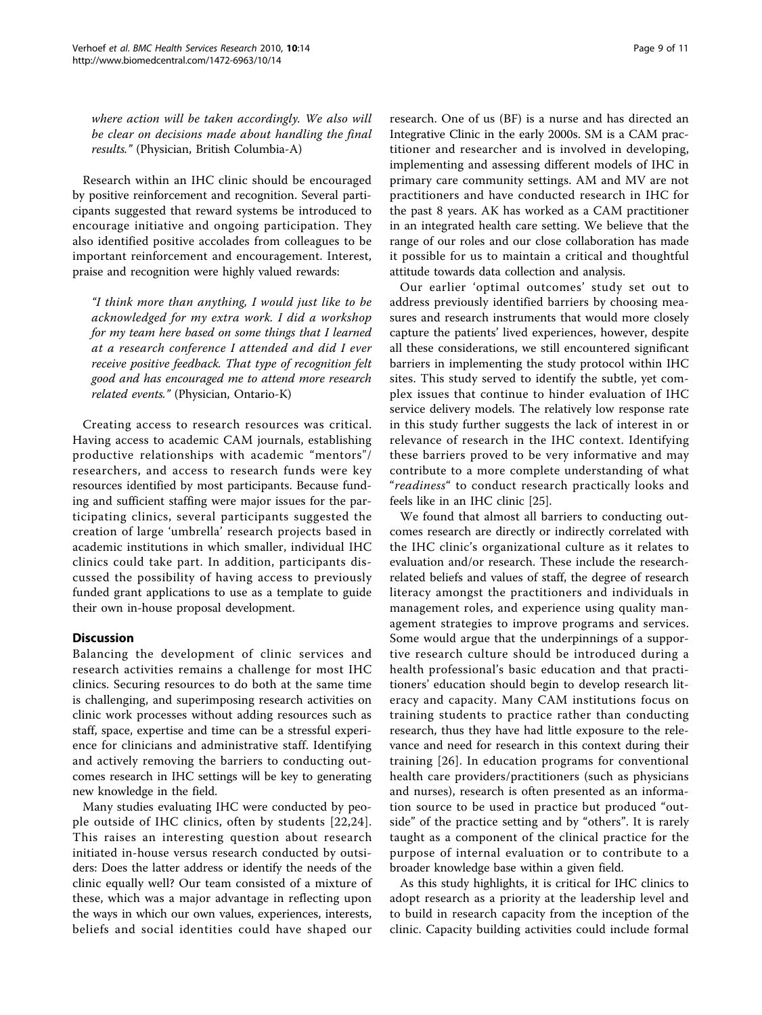where action will be taken accordingly. We also will be clear on decisions made about handling the final results." (Physician, British Columbia-A)

Research within an IHC clinic should be encouraged by positive reinforcement and recognition. Several participants suggested that reward systems be introduced to encourage initiative and ongoing participation. They also identified positive accolades from colleagues to be important reinforcement and encouragement. Interest, praise and recognition were highly valued rewards:

"I think more than anything, I would just like to be acknowledged for my extra work. I did a workshop for my team here based on some things that I learned at a research conference I attended and did I ever receive positive feedback. That type of recognition felt good and has encouraged me to attend more research related events." (Physician, Ontario-K)

Creating access to research resources was critical. Having access to academic CAM journals, establishing productive relationships with academic "mentors"/ researchers, and access to research funds were key resources identified by most participants. Because funding and sufficient staffing were major issues for the participating clinics, several participants suggested the creation of large 'umbrella' research projects based in academic institutions in which smaller, individual IHC clinics could take part. In addition, participants discussed the possibility of having access to previously funded grant applications to use as a template to guide their own in-house proposal development.

## **Discussion**

Balancing the development of clinic services and research activities remains a challenge for most IHC clinics. Securing resources to do both at the same time is challenging, and superimposing research activities on clinic work processes without adding resources such as staff, space, expertise and time can be a stressful experience for clinicians and administrative staff. Identifying and actively removing the barriers to conducting outcomes research in IHC settings will be key to generating new knowledge in the field.

Many studies evaluating IHC were conducted by people outside of IHC clinics, often by students [\[22,24\]](#page-10-0). This raises an interesting question about research initiated in-house versus research conducted by outsiders: Does the latter address or identify the needs of the clinic equally well? Our team consisted of a mixture of these, which was a major advantage in reflecting upon the ways in which our own values, experiences, interests, beliefs and social identities could have shaped our research. One of us (BF) is a nurse and has directed an Integrative Clinic in the early 2000s. SM is a CAM practitioner and researcher and is involved in developing, implementing and assessing different models of IHC in primary care community settings. AM and MV are not practitioners and have conducted research in IHC for the past 8 years. AK has worked as a CAM practitioner in an integrated health care setting. We believe that the range of our roles and our close collaboration has made it possible for us to maintain a critical and thoughtful attitude towards data collection and analysis.

Our earlier 'optimal outcomes' study set out to address previously identified barriers by choosing measures and research instruments that would more closely capture the patients' lived experiences, however, despite all these considerations, we still encountered significant barriers in implementing the study protocol within IHC sites. This study served to identify the subtle, yet complex issues that continue to hinder evaluation of IHC service delivery models. The relatively low response rate in this study further suggests the lack of interest in or relevance of research in the IHC context. Identifying these barriers proved to be very informative and may contribute to a more complete understanding of what "*readiness*" to conduct research practically looks and feels like in an IHC clinic [\[25](#page-10-0)].

We found that almost all barriers to conducting outcomes research are directly or indirectly correlated with the IHC clinic's organizational culture as it relates to evaluation and/or research. These include the researchrelated beliefs and values of staff, the degree of research literacy amongst the practitioners and individuals in management roles, and experience using quality management strategies to improve programs and services. Some would argue that the underpinnings of a supportive research culture should be introduced during a health professional's basic education and that practitioners' education should begin to develop research literacy and capacity. Many CAM institutions focus on training students to practice rather than conducting research, thus they have had little exposure to the relevance and need for research in this context during their training [\[26\]](#page-10-0). In education programs for conventional health care providers/practitioners (such as physicians and nurses), research is often presented as an information source to be used in practice but produced "outside" of the practice setting and by "others". It is rarely taught as a component of the clinical practice for the purpose of internal evaluation or to contribute to a broader knowledge base within a given field.

As this study highlights, it is critical for IHC clinics to adopt research as a priority at the leadership level and to build in research capacity from the inception of the clinic. Capacity building activities could include formal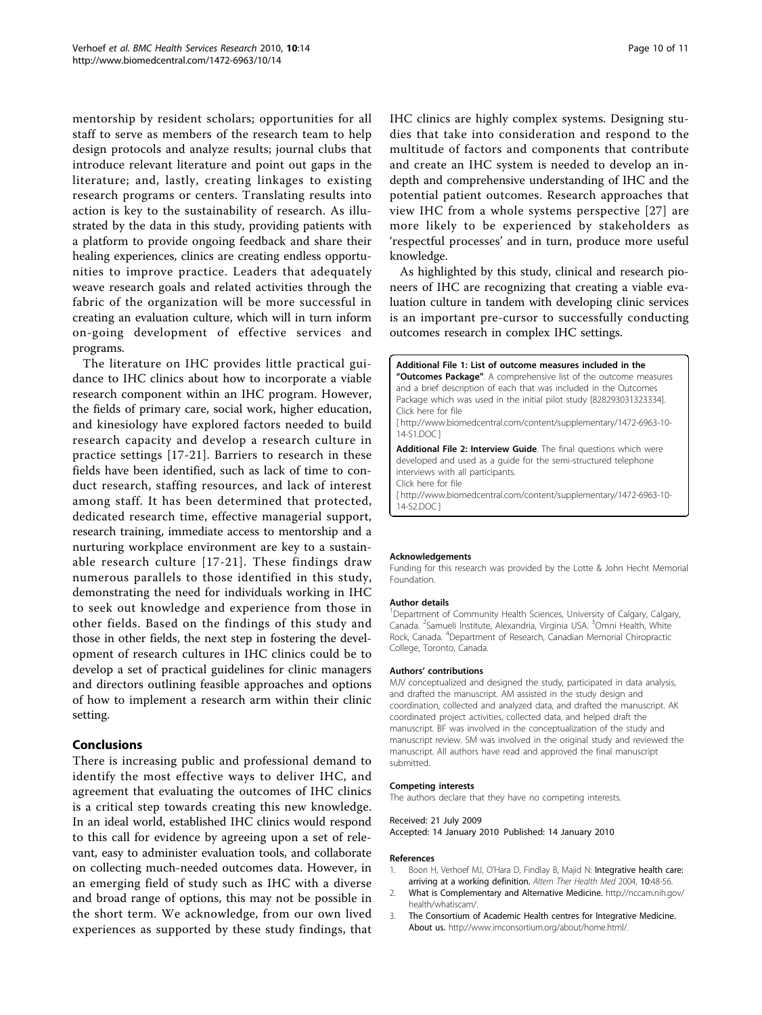<span id="page-9-0"></span>mentorship by resident scholars; opportunities for all staff to serve as members of the research team to help design protocols and analyze results; journal clubs that introduce relevant literature and point out gaps in the literature; and, lastly, creating linkages to existing research programs or centers. Translating results into action is key to the sustainability of research. As illustrated by the data in this study, providing patients with a platform to provide ongoing feedback and share their healing experiences, clinics are creating endless opportunities to improve practice. Leaders that adequately weave research goals and related activities through the fabric of the organization will be more successful in creating an evaluation culture, which will in turn inform on-going development of effective services and programs.

The literature on IHC provides little practical guidance to IHC clinics about how to incorporate a viable research component within an IHC program. However, the fields of primary care, social work, higher education, and kinesiology have explored factors needed to build research capacity and develop a research culture in practice settings [[17](#page-10-0)-[21](#page-10-0)]. Barriers to research in these fields have been identified, such as lack of time to conduct research, staffing resources, and lack of interest among staff. It has been determined that protected, dedicated research time, effective managerial support, research training, immediate access to mentorship and a nurturing workplace environment are key to a sustainable research culture [[17](#page-10-0)-[21\]](#page-10-0). These findings draw numerous parallels to those identified in this study, demonstrating the need for individuals working in IHC to seek out knowledge and experience from those in other fields. Based on the findings of this study and those in other fields, the next step in fostering the development of research cultures in IHC clinics could be to develop a set of practical guidelines for clinic managers and directors outlining feasible approaches and options of how to implement a research arm within their clinic setting.

## Conclusions

There is increasing public and professional demand to identify the most effective ways to deliver IHC, and agreement that evaluating the outcomes of IHC clinics is a critical step towards creating this new knowledge. In an ideal world, established IHC clinics would respond to this call for evidence by agreeing upon a set of relevant, easy to administer evaluation tools, and collaborate on collecting much-needed outcomes data. However, in an emerging field of study such as IHC with a diverse and broad range of options, this may not be possible in the short term. We acknowledge, from our own lived experiences as supported by these study findings, that IHC clinics are highly complex systems. Designing studies that take into consideration and respond to the multitude of factors and components that contribute and create an IHC system is needed to develop an indepth and comprehensive understanding of IHC and the potential patient outcomes. Research approaches that view IHC from a whole systems perspective [[27](#page-10-0)] are more likely to be experienced by stakeholders as 'respectful processes' and in turn, produce more useful knowledge.

As highlighted by this study, clinical and research pioneers of IHC are recognizing that creating a viable evaluation culture in tandem with developing clinic services is an important pre-cursor to successfully conducting outcomes research in complex IHC settings.

Additional File 1: List of outcome measures included in the "Outcomes Package". A comprehensive list of the outcome measures and a brief description of each that was included in the Outcomes Package which was used in the initial pilot study [\[828293031323334](#page-10-0)]. Click here for file [ http://www.biomedcentral.com/content/supplementary/1472-6963-10- 14-S1.DOC ]

Additional File 2: Interview Guide. The final questions which were developed and used as a guide for the semi-structured telephone interviews with all participants. Click here for file

[ http://www.biomedcentral.com/content/supplementary/1472-6963-10- 14-S2.DOC ]

#### Acknowledgements

Funding for this research was provided by the Lotte & John Hecht Memorial Foundation.

#### Author details

<sup>1</sup>Department of Community Health Sciences, University of Calgary, Calgary, Canada. <sup>2</sup>Samueli Institute, Alexandria, Virginia USA. <sup>3</sup>Omni Health, White Rock, Canada. <sup>4</sup>Department of Research, Canadian Memorial Chiropractic College, Toronto, Canada.

#### Authors' contributions

MJV conceptualized and designed the study, participated in data analysis, and drafted the manuscript. AM assisted in the study design and coordination, collected and analyzed data, and drafted the manuscript. AK coordinated project activities, collected data, and helped draft the manuscript. BF was involved in the conceptualization of the study and manuscript review. SM was involved in the original study and reviewed the manuscript. All authors have read and approved the final manuscript submitted.

#### Competing interests

The authors declare that they have no competing interests.

#### Received: 21 July 2009

Accepted: 14 January 2010 Published: 14 January 2010

#### References

- 1. Boon H, Verhoef MJ, O'Hara D, Findlay B, Majid N: [Integrative health care:](http://www.ncbi.nlm.nih.gov/pubmed/15478786?dopt=Abstract) [arriving at a working definition.](http://www.ncbi.nlm.nih.gov/pubmed/15478786?dopt=Abstract) Altern Ther Health Med 2004, 10:48-56.
- 2. What is Complementary and Alternative Medicine. [http://nccam.nih.gov/](http://nccam.nih.gov/health/whatiscam/) [health/whatiscam/.](http://nccam.nih.gov/health/whatiscam/)
- 3. The Consortium of Academic Health centres for Integrative Medicine. About us. <http://www.imconsortium.org/about/home.html/>.